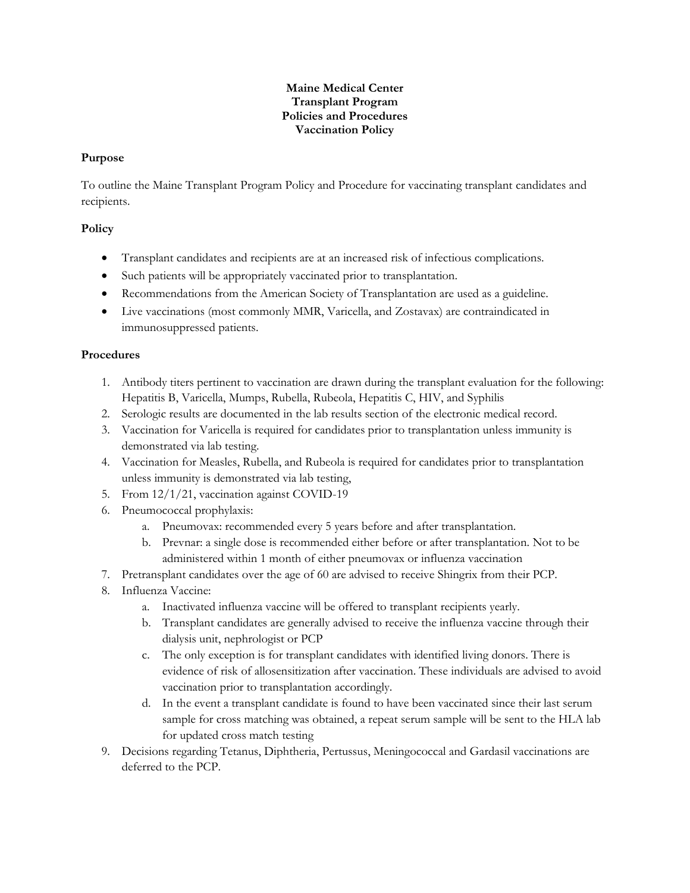## **Maine Medical Center Transplant Program Policies and Procedures Vaccination Policy**

## **Purpose**

To outline the Maine Transplant Program Policy and Procedure for vaccinating transplant candidates and recipients.

## **Policy**

- Transplant candidates and recipients are at an increased risk of infectious complications.
- Such patients will be appropriately vaccinated prior to transplantation.
- Recommendations from the American Society of Transplantation are used as a guideline.
- Live vaccinations (most commonly MMR, Varicella, and Zostavax) are contraindicated in immunosuppressed patients.

## **Procedures**

- 1. Antibody titers pertinent to vaccination are drawn during the transplant evaluation for the following: Hepatitis B, Varicella, Mumps, Rubella, Rubeola, Hepatitis C, HIV, and Syphilis
- 2. Serologic results are documented in the lab results section of the electronic medical record.
- 3. Vaccination for Varicella is required for candidates prior to transplantation unless immunity is demonstrated via lab testing.
- 4. Vaccination for Measles, Rubella, and Rubeola is required for candidates prior to transplantation unless immunity is demonstrated via lab testing,
- 5. From 12/1/21, vaccination against COVID-19
- 6. Pneumococcal prophylaxis:
	- a. Pneumovax: recommended every 5 years before and after transplantation.
	- b. Prevnar: a single dose is recommended either before or after transplantation. Not to be administered within 1 month of either pneumovax or influenza vaccination
- 7. Pretransplant candidates over the age of 60 are advised to receive Shingrix from their PCP.
- 8. Influenza Vaccine:
	- a. Inactivated influenza vaccine will be offered to transplant recipients yearly.
	- b. Transplant candidates are generally advised to receive the influenza vaccine through their dialysis unit, nephrologist or PCP
	- c. The only exception is for transplant candidates with identified living donors. There is evidence of risk of allosensitization after vaccination. These individuals are advised to avoid vaccination prior to transplantation accordingly.
	- d. In the event a transplant candidate is found to have been vaccinated since their last serum sample for cross matching was obtained, a repeat serum sample will be sent to the HLA lab for updated cross match testing
- 9. Decisions regarding Tetanus, Diphtheria, Pertussus, Meningococcal and Gardasil vaccinations are deferred to the PCP.